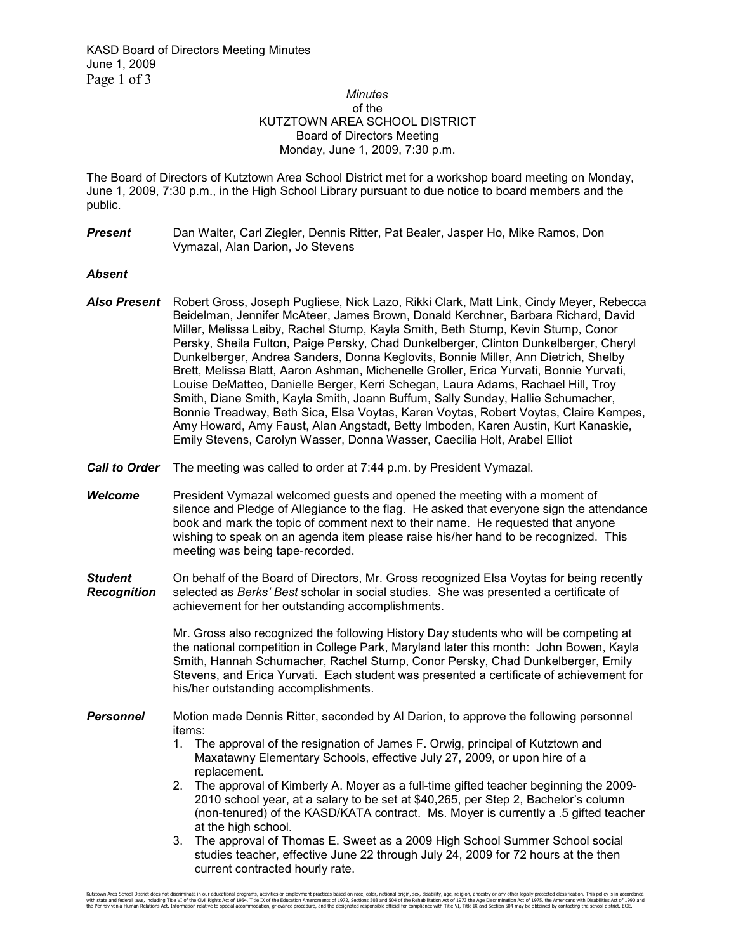## *Minutes*  of the KUTZTOWN AREA SCHOOL DISTRICT Board of Directors Meeting Monday, June 1, 2009, 7:30 p.m.

The Board of Directors of Kutztown Area School District met for a workshop board meeting on Monday, June 1, 2009, 7:30 p.m., in the High School Library pursuant to due notice to board members and the public.

**Present** Dan Walter, Carl Ziegler, Dennis Ritter, Pat Bealer, Jasper Ho, Mike Ramos, Don Vymazal, Alan Darion, Jo Stevens

## *Absent*

- *Also Present* Robert Gross, Joseph Pugliese, Nick Lazo, Rikki Clark, Matt Link, Cindy Meyer, Rebecca Beidelman, Jennifer McAteer, James Brown, Donald Kerchner, Barbara Richard, David Miller, Melissa Leiby, Rachel Stump, Kayla Smith, Beth Stump, Kevin Stump, Conor Persky, Sheila Fulton, Paige Persky, Chad Dunkelberger, Clinton Dunkelberger, Cheryl Dunkelberger, Andrea Sanders, Donna Keglovits, Bonnie Miller, Ann Dietrich, Shelby Brett, Melissa Blatt, Aaron Ashman, Michenelle Groller, Erica Yurvati, Bonnie Yurvati, Louise DeMatteo, Danielle Berger, Kerri Schegan, Laura Adams, Rachael Hill, Troy Smith, Diane Smith, Kayla Smith, Joann Buffum, Sally Sunday, Hallie Schumacher, Bonnie Treadway, Beth Sica, Elsa Voytas, Karen Voytas, Robert Voytas, Claire Kempes, Amy Howard, Amy Faust, Alan Angstadt, Betty Imboden, Karen Austin, Kurt Kanaskie, Emily Stevens, Carolyn Wasser, Donna Wasser, Caecilia Holt, Arabel Elliot
- *Call to Order* The meeting was called to order at 7:44 p.m. by President Vymazal.
- *Welcome* President Vymazal welcomed guests and opened the meeting with a moment of silence and Pledge of Allegiance to the flag. He asked that everyone sign the attendance book and mark the topic of comment next to their name. He requested that anyone wishing to speak on an agenda item please raise his/her hand to be recognized. This meeting was being tape-recorded.
- **Student** On behalf of the Board of Directors, Mr. Gross recognized Elsa Voytas for being recently **Recognition** selected as *Berks' Best* scholar in social studies. She was presented a certificate of *Recognition* selected as *Berks' Best* scholar in social studies. She was presented a certificate of achievement for her outstanding accomplishments.

 Mr. Gross also recognized the following History Day students who will be competing at the national competition in College Park, Maryland later this month: John Bowen, Kayla Smith, Hannah Schumacher, Rachel Stump, Conor Persky, Chad Dunkelberger, Emily Stevens, and Erica Yurvati. Each student was presented a certificate of achievement for his/her outstanding accomplishments.

- **Personnel** Motion made Dennis Ritter, seconded by Al Darion, to approve the following personnel items:
	- 1. The approval of the resignation of James F. Orwig, principal of Kutztown and Maxatawny Elementary Schools, effective July 27, 2009, or upon hire of a replacement.
	- 2. The approval of Kimberly A. Moyer as a full-time gifted teacher beginning the 2009- 2010 school year, at a salary to be set at \$40,265, per Step 2, Bachelor's column (non-tenured) of the KASD/KATA contract. Ms. Moyer is currently a .5 gifted teacher at the high school.
	- 3. The approval of Thomas E. Sweet as a 2009 High School Summer School social studies teacher, effective June 22 through July 24, 2009 for 72 hours at the then current contracted hourly rate.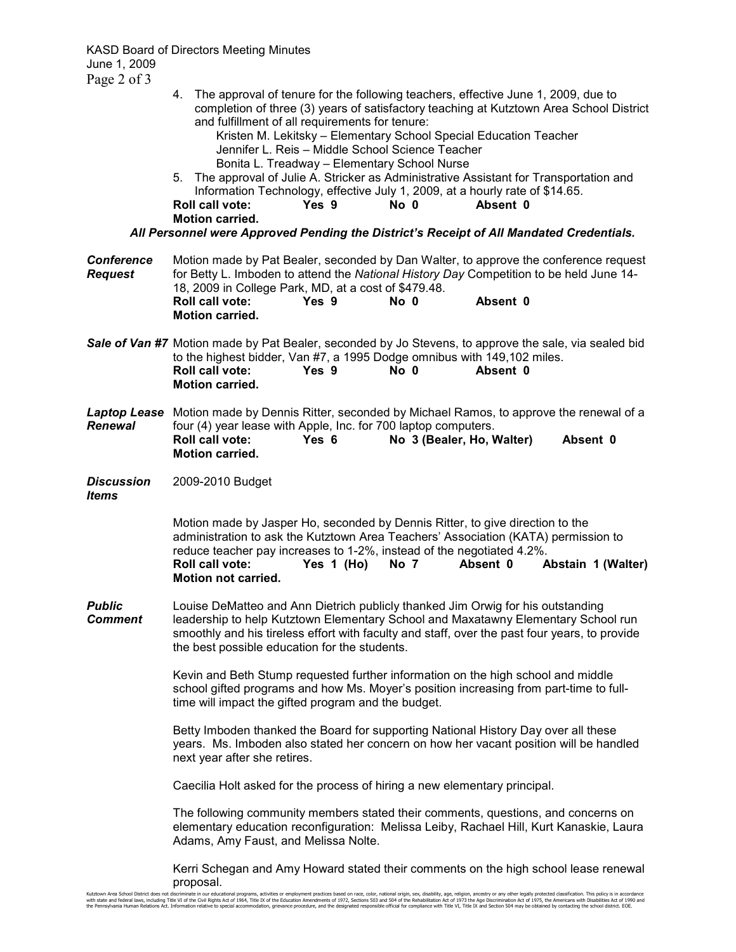KASD Board of Directors Meeting Minutes June 1, 2009 Page 2 of 3

| $\Gamma$ age $\angle$ 01 J          |                                                                                                                                                                                                                                                                                                                                                                                                                                                                                                                                                                                                                                                                                                                                                                       |
|-------------------------------------|-----------------------------------------------------------------------------------------------------------------------------------------------------------------------------------------------------------------------------------------------------------------------------------------------------------------------------------------------------------------------------------------------------------------------------------------------------------------------------------------------------------------------------------------------------------------------------------------------------------------------------------------------------------------------------------------------------------------------------------------------------------------------|
|                                     | 4. The approval of tenure for the following teachers, effective June 1, 2009, due to<br>completion of three (3) years of satisfactory teaching at Kutztown Area School District<br>and fulfillment of all requirements for tenure:<br>Kristen M. Lekitsky - Elementary School Special Education Teacher<br>Jennifer L. Reis - Middle School Science Teacher<br>Bonita L. Treadway - Elementary School Nurse<br>The approval of Julie A. Stricker as Administrative Assistant for Transportation and<br>5.<br>Information Technology, effective July 1, 2009, at a hourly rate of \$14.65.<br>Yes 9<br>Absent 0<br><b>Roll call vote:</b><br>No 0<br><b>Motion carried.</b><br>All Personnel were Approved Pending the District's Receipt of All Mandated Credentials. |
|                                     |                                                                                                                                                                                                                                                                                                                                                                                                                                                                                                                                                                                                                                                                                                                                                                       |
| <b>Conference</b><br><b>Request</b> | Motion made by Pat Bealer, seconded by Dan Walter, to approve the conference request<br>for Betty L. Imboden to attend the National History Day Competition to be held June 14-<br>18, 2009 in College Park, MD, at a cost of \$479.48.<br>Absent 0<br>Roll call vote:<br>Yes 9<br>No 0<br><b>Motion carried.</b>                                                                                                                                                                                                                                                                                                                                                                                                                                                     |
|                                     | Sale of Van #7 Motion made by Pat Bealer, seconded by Jo Stevens, to approve the sale, via sealed bid<br>to the highest bidder, Van #7, a 1995 Dodge omnibus with 149,102 miles.<br><b>Roll call vote:</b><br>Yes <sub>9</sub><br>$No$ $0$<br>Absent 0<br><b>Motion carried.</b>                                                                                                                                                                                                                                                                                                                                                                                                                                                                                      |
| <b>Renewal</b>                      | Laptop Lease Motion made by Dennis Ritter, seconded by Michael Ramos, to approve the renewal of a<br>four (4) year lease with Apple, Inc. for 700 laptop computers.<br>Yes 6<br>No 3 (Bealer, Ho, Walter)<br>Absent 0<br><b>Roll call vote:</b><br>Motion carried.                                                                                                                                                                                                                                                                                                                                                                                                                                                                                                    |
| <b>Discussion</b><br><b>Items</b>   | 2009-2010 Budget                                                                                                                                                                                                                                                                                                                                                                                                                                                                                                                                                                                                                                                                                                                                                      |
|                                     | Motion made by Jasper Ho, seconded by Dennis Ritter, to give direction to the<br>administration to ask the Kutztown Area Teachers' Association (KATA) permission to<br>reduce teacher pay increases to 1-2%, instead of the negotiated 4.2%.<br><b>Roll call vote:</b><br>Yes 1 (Ho)<br>No 7<br>Absent 0<br>Abstain 1 (Walter)<br><b>Motion not carried.</b>                                                                                                                                                                                                                                                                                                                                                                                                          |
| <b>Public</b><br><b>Comment</b>     | Louise DeMatteo and Ann Dietrich publicly thanked Jim Orwig for his outstanding<br>leadership to help Kutztown Elementary School and Maxatawny Elementary School run<br>smoothly and his tireless effort with faculty and staff, over the past four years, to provide<br>the best possible education for the students.                                                                                                                                                                                                                                                                                                                                                                                                                                                |
|                                     | Kevin and Beth Stump requested further information on the high school and middle<br>school gifted programs and how Ms. Moyer's position increasing from part-time to full-<br>time will impact the gifted program and the budget.                                                                                                                                                                                                                                                                                                                                                                                                                                                                                                                                     |
|                                     | Betty Imboden thanked the Board for supporting National History Day over all these<br>years. Ms. Imboden also stated her concern on how her vacant position will be handled<br>next year after she retires.                                                                                                                                                                                                                                                                                                                                                                                                                                                                                                                                                           |
|                                     | Caecilia Holt asked for the process of hiring a new elementary principal.                                                                                                                                                                                                                                                                                                                                                                                                                                                                                                                                                                                                                                                                                             |
|                                     | The following community members stated their comments, questions, and concerns on<br>elementary education reconfiguration: Melissa Leiby, Rachael Hill, Kurt Kanaskie, Laura<br>Adams, Amy Faust, and Melissa Nolte.                                                                                                                                                                                                                                                                                                                                                                                                                                                                                                                                                  |
|                                     | Kerri Schegan and Amy Howard stated their comments on the high school lease renewal<br>proposal.                                                                                                                                                                                                                                                                                                                                                                                                                                                                                                                                                                                                                                                                      |

Kutztown Area School District does not discriminate in our educational programs, activities or employment practices based on race, color, national origin, sex, disability, age, religion, ancestry or any other legally prote